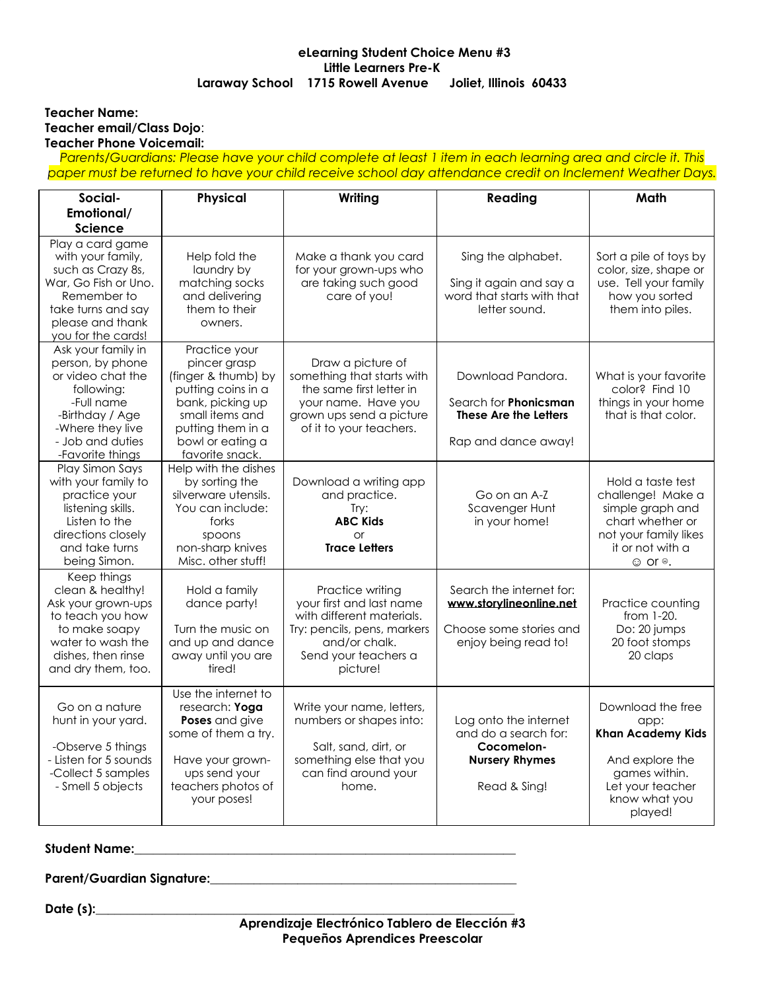## **eLearning Student Choice Menu #3 Little Learners Pre-K Laraway School 1715 Rowell Avenue Joliet, Illinois 60433**

## **Teacher Name: Teacher email/Class Dojo**: **Teacher Phone Voicemail:**

Parents/Guardians: Please have your child complete at least 1 item in each learning area and circle it. This *paper must be returned to have your child receive school day attendance credit on Inclement Weather Days.*

| Social-                                                                                                                                                                | <b>Physical</b>                                                                                                                                                               | Writing                                                                                                                                                       | Reading                                                                                                | Math                                                                                                                                                |
|------------------------------------------------------------------------------------------------------------------------------------------------------------------------|-------------------------------------------------------------------------------------------------------------------------------------------------------------------------------|---------------------------------------------------------------------------------------------------------------------------------------------------------------|--------------------------------------------------------------------------------------------------------|-----------------------------------------------------------------------------------------------------------------------------------------------------|
| Emotional/                                                                                                                                                             |                                                                                                                                                                               |                                                                                                                                                               |                                                                                                        |                                                                                                                                                     |
| <b>Science</b>                                                                                                                                                         |                                                                                                                                                                               |                                                                                                                                                               |                                                                                                        |                                                                                                                                                     |
| Play a card game<br>with your family,<br>such as Crazy 8s,<br>War, Go Fish or Uno.<br>Remember to<br>take turns and say<br>please and thank<br>you for the cards!      | Help fold the<br>laundry by<br>matching socks<br>and delivering<br>them to their<br>owners.                                                                                   | Make a thank you card<br>for your grown-ups who<br>are taking such good<br>care of you!                                                                       | Sing the alphabet.<br>Sing it again and say a<br>word that starts with that<br>letter sound.           | Sort a pile of toys by<br>color, size, shape or<br>use. Tell your family<br>how you sorted<br>them into piles.                                      |
| Ask your family in<br>person, by phone<br>or video chat the<br>following:<br>-Full name<br>-Birthday / Age<br>-Where they live<br>- Job and duties<br>-Favorite things | Practice your<br>pincer grasp<br>(finger & thumb) by<br>putting coins in a<br>bank, picking up<br>small items and<br>putting them in a<br>bowl or eating a<br>favorite snack. | Draw a picture of<br>something that starts with<br>the same first letter in<br>your name. Have you<br>grown ups send a picture<br>of it to your teachers.     | Download Pandora.<br>Search for <b>Phonicsman</b><br>These Are the Letters<br>Rap and dance away!      | What is your favorite<br>color? Find 10<br>things in your home<br>that is that color.                                                               |
| Play Simon Says<br>with your family to<br>practice your<br>listening skills.<br>Listen to the<br>directions closely<br>and take turns<br>being Simon.                  | Help with the dishes<br>by sorting the<br>silverware utensils.<br>You can include:<br>forks<br>spoons<br>non-sharp knives<br>Misc. other stuff!                               | Download a writing app<br>and practice.<br>Try:<br><b>ABC Kids</b><br>$\alpha$ r<br><b>Trace Letters</b>                                                      | Go on an A-Z<br>Scavenger Hunt<br>in your home!                                                        | Hold a taste test<br>challenge! Make a<br>simple graph and<br>chart whether or<br>not your family likes<br>it or not with a<br>$\odot$ or $\odot$ . |
| Keep things<br>clean & healthy!<br>Ask your grown-ups<br>to teach you how<br>to make soapy<br>water to wash the<br>dishes, then rinse<br>and dry them, too.            | Hold a family<br>dance party!<br>Turn the music on<br>and up and dance<br>away until you are<br>tired!                                                                        | Practice writing<br>your first and last name<br>with different materials.<br>Try: pencils, pens, markers<br>and/or chalk.<br>Send your teachers a<br>picture! | Search the internet for:<br>www.storylineonline.net<br>Choose some stories and<br>enjoy being read to! | Practice counting<br>from 1-20.<br>Do: 20 jumps<br>20 foot stomps<br>20 claps                                                                       |
| Go on a nature<br>hunt in your yard.<br>-Observe 5 things<br>- Listen for 5 sounds<br>-Collect 5 samples<br>- Smell 5 objects                                          | Use the internet to<br>research: Yoga<br>Poses and give<br>some of them a try.<br>Have your grown-<br>ups send your<br>teachers photos of<br>your poses!                      | Write your name, letters,<br>numbers or shapes into:<br>Salt, sand, dirt, or<br>something else that you<br>can find around your<br>home.                      | Log onto the internet<br>and do a search for:<br>Cocomelon-<br><b>Nursery Rhymes</b><br>Read & Sing!   | Download the free<br>app:<br><b>Khan Academy Kids</b><br>And explore the<br>games within.<br>Let your teacher<br>know what you<br>played!           |

**Student Name:\_\_\_\_\_\_\_\_\_\_\_\_\_\_\_\_\_\_\_\_\_\_\_\_\_\_\_\_\_\_\_\_\_\_\_\_\_\_\_\_\_\_\_\_\_\_\_\_\_\_\_\_\_\_\_\_\_\_\_\_\_**

**Parent/Guardian Signature:\_\_\_\_\_\_\_\_\_\_\_\_\_\_\_\_\_\_\_\_\_\_\_\_\_\_\_\_\_\_\_\_\_\_\_\_\_\_\_\_\_\_\_\_\_\_\_\_\_**

**Date (s):\_\_\_\_\_\_\_\_\_\_\_\_\_\_\_\_\_\_\_\_\_\_\_\_\_\_\_\_\_\_\_\_\_\_\_\_\_\_\_\_\_\_\_\_\_\_\_\_\_\_\_\_\_\_\_\_\_\_\_\_\_\_\_\_\_\_\_**